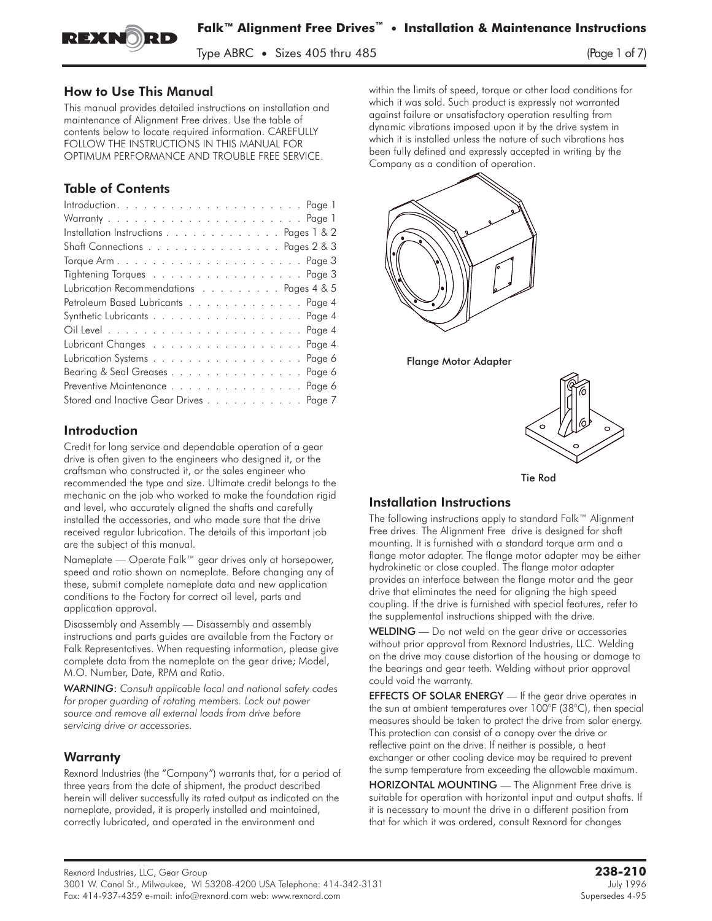

 $\frac{1}{2}$ 

#### How to Use This Manual

This manual provides detailed instructions on installation and maintenance of Alignment Free drives. Use the table of contents below to locate required information. CAREFULLY FOLLOW THE INSTRUCTIONS IN THIS MANUAL FOR OPTIMUM PERFORMANCE AND TROUBLE FREE SERVICE.

# Table of Contents

| Installation Instructions Pages 1 & 2   |
|-----------------------------------------|
| Shaft Connections Pages 2 & 3           |
|                                         |
| Tightening Torques Page 3               |
| Lubrication Recommendations Pages 4 & 5 |
| Petroleum Based Lubricants Page 4       |
| Synthetic Lubricants Page 4             |
|                                         |
| Lubricant Changes Page 4                |
| Lubrication Systems Page 6              |
| Bearing & Seal Greases Page 6           |
| Preventive Maintenance Page 6           |
| Stored and Inactive Gear Drives Page 7  |

# Introduction

Credit for long service and dependable operation of a gear drive is often given to the engineers who designed it, or the craftsman who constructed it, or the sales engineer who recommended the type and size. Ultimate credit belongs to the mechanic on the job who worked to make the foundation rigid and level, who accurately aligned the shafts and carefully installed the accessories, and who made sure that the drive received regular lubrication. The details of this important job are the subject of this manual.

Nameplate — Operate Falk™ gear drives only at horsepower, speed and ratio shown on nameplate. Before changing any of these, submit complete nameplate data and new application conditions to the Factory for correct oil level, parts and application approval.

Disassembly and Assembly — Disassembly and assembly instructions and parts guides are available from the Factory or Falk Representatives. When requesting information, please give complete data from the nameplate on the gear drive; Model, M.O. Number, Date, RPM and Ratio.

*WARNING*: *Consult applicable local and national safety codes for proper guarding of rotating members. Lock out power source and remove all external loads from drive before servicing drive or accessories.*

# **Warranty**

Rexnord Industries (the "Company") warrants that, for a period of three years from the date of shipment, the product described herein will deliver successfully its rated output as indicated on the nameplate, provided, it is properly installed and maintained, correctly lubricated, and operated in the environment and

within the limits of speed, torque or other load conditions for which it was sold. Such product is expressly not warranted against failure or unsatisfactory operation resulting from dynamic vibrations imposed upon it by the drive system in which it is installed unless the nature of such vibrations has been fully defined and expressly accepted in writing by the Company as a condition of operation.



Flange Motor Adapter





# Installation Instructions

The following instructions apply to standard Falk™ Alignment Free drives. The Alignment Free drive is designed for shaft mounting. It is furnished with a standard torque arm and a flange motor adapter. The flange motor adapter may be either hydrokinetic or close coupled. The flange motor adapter provides an interface between the flange motor and the gear drive that eliminates the need for aligning the high speed coupling. If the drive is furnished with special features, refer to the supplemental instructions shipped with the drive.

WELDING — Do not weld on the gear drive or accessories without prior approval from Rexnord Industries, LLC. Welding on the drive may cause distortion of the housing or damage to the bearings and gear teeth. Welding without prior approval could void the warranty.

EFFECTS OF SOLAR ENERGY - If the gear drive operates in the sun at ambient temperatures over 100°F (38°C), then special measures should be taken to protect the drive from solar energy. This protection can consist of a canopy over the drive or reflective paint on the drive. If neither is possible, a heat exchanger or other cooling device may be required to prevent the sump temperature from exceeding the allowable maximum.

HORIZONTAL MOUNTING — The Alignment Free drive is suitable for operation with horizontal input and output shafts. If it is necessary to mount the drive in a different position from that for which it was ordered, consult Rexnord for changes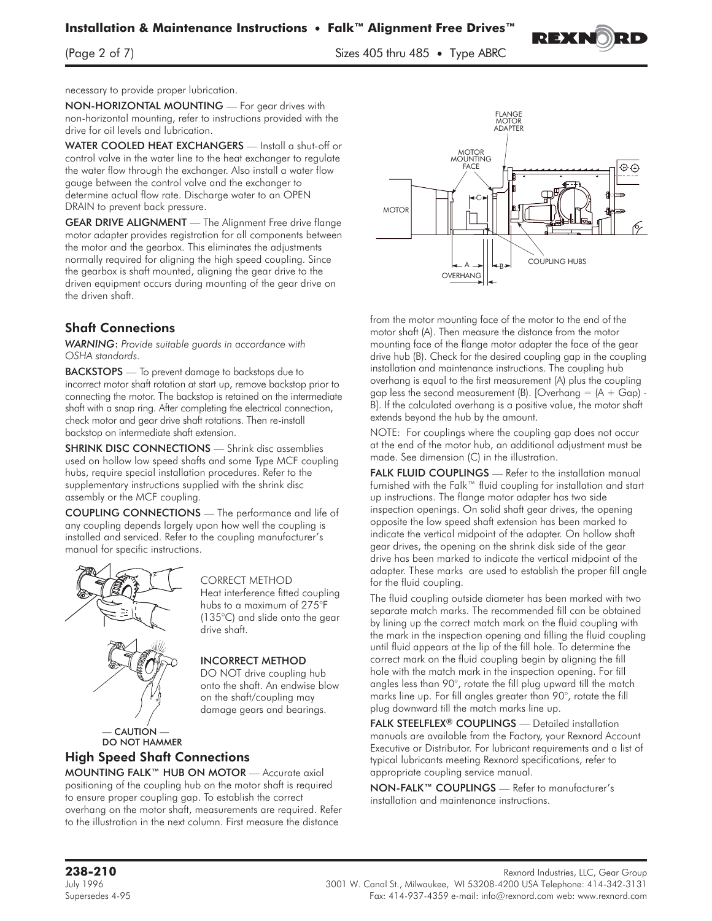

 $\sum_{i=1}^n$  of  $\sum_{i=1}^n$  sizes  $\sum_{i=1}^n$  sizes  $\sum_{i=1}^n$  sizes  $\sum_{i=1}^n$  sizes  $\sum_{i=1}^n$  sizes  $\sum_{i=1}^n$  sizes  $\sum_{i=1}^n$  sizes  $\sum_{i=1}^n$  sizes  $\sum_{i=1}^n$  sizes  $\sum_{i=1}^n$  sizes  $\sum_{i=1}^n$  sizes  $\sum_{i=1}$ 

necessary to provide proper lubrication.

NON-HORIZONTAL MOUNTING — For gear drives with non-horizontal mounting, refer to instructions provided with the drive for oil levels and lubrication.

WATER COOLED HEAT EXCHANGERS - Install a shut-off or control valve in the water line to the heat exchanger to regulate the water flow through the exchanger. Also install a water flow gauge between the control valve and the exchanger to determine actual flow rate. Discharge water to an OPEN DRAIN to prevent back pressure.

GEAR DRIVE ALIGNMENT — The Alignment Free drive flange motor adapter provides registration for all components between the motor and the gearbox. This eliminates the adjustments normally required for aligning the high speed coupling. Since the gearbox is shaft mounted, aligning the gear drive to the driven equipment occurs during mounting of the gear drive on the driven shaft.

#### Shaft Connections

*WARNING*: *Provide suitable guards in accordance with OSHA standards.*

**BACKSTOPS** — To prevent damage to backstops due to incorrect motor shaft rotation at start up, remove backstop prior to connecting the motor. The backstop is retained on the intermediate shaft with a snap ring. After completing the electrical connection, check motor and gear drive shaft rotations. Then re-install backstop on intermediate shaft extension.

SHRINK DISC CONNECTIONS - Shrink disc assemblies used on hollow low speed shafts and some Type MCF coupling hubs, require special installation procedures. Refer to the supplementary instructions supplied with the shrink disc assembly or the MCF coupling.

COUPLING CONNECTIONS — The performance and life of any coupling depends largely upon how well the coupling is installed and serviced. Refer to the coupling manufacturer's manual for specific instructions.



CORRECT METHOD Heat interference fitted coupling hubs to a maximum of 275°F (135°C) and slide onto the gear drive shaft.

#### INCORRECT METHOD

DO NOT drive coupling hub onto the shaft. An endwise blow on the shaft/coupling may damage gears and bearings.

— CAUTION — DO NOT HAMMER

#### High Speed Shaft Connections

MOUNTING FALK™ HUB ON MOTOR — Accurate axial positioning of the coupling hub on the motor shaft is required to ensure proper coupling gap. To establish the correct overhang on the motor shaft, measurements are required. Refer to the illustration in the next column. First measure the distance



from the motor mounting face of the motor to the end of the motor shaft (A). Then measure the distance from the motor mounting face of the flange motor adapter the face of the gear drive hub (B). Check for the desired coupling gap in the coupling installation and maintenance instructions. The coupling hub overhang is equal to the first measurement (A) plus the coupling gap less the second measurement (B). [Overhang  $=$   $(A + Gap)$  -B]. If the calculated overhang is a positive value, the motor shaft extends beyond the hub by the amount.

NOTE: For couplings where the coupling gap does not occur at the end of the motor hub, an additional adjustment must be made. See dimension (C) in the illustration.

FALK FLUID COUPLINGS - Refer to the installation manual furnished with the Falk™ fluid coupling for installation and start up instructions. The flange motor adapter has two side inspection openings. On solid shaft gear drives, the opening opposite the low speed shaft extension has been marked to indicate the vertical midpoint of the adapter. On hollow shaft gear drives, the opening on the shrink disk side of the gear drive has been marked to indicate the vertical midpoint of the adapter. These marks are used to establish the proper fill angle for the fluid coupling.

The fluid coupling outside diameter has been marked with two separate match marks. The recommended fill can be obtained by lining up the correct match mark on the fluid coupling with the mark in the inspection opening and filling the fluid coupling until fluid appears at the lip of the fill hole. To determine the correct mark on the fluid coupling begin by aligning the fill hole with the match mark in the inspection opening. For fill angles less than 90°, rotate the fill plug upward till the match marks line up. For fill angles greater than 90°, rotate the fill plug downward till the match marks line up.

FALK STEELFLEX® COUPLINGS — Detailed installation manuals are available from the Factory, your Rexnord Account Executive or Distributor. For lubricant requirements and a list of typical lubricants meeting Rexnord specifications, refer to appropriate coupling service manual.

NON-FALK™ COUPLINGS — Refer to manufacturer's installation and maintenance instructions.

Rexnord Industries, LLC, Gear Group<br>July 1996 3001 W. Canal St., Milwaukee, WI 53208-4200 USA Telephone: 414-342-3131 Supersedes 4-95 Fax: 414-937-4359 e-mail: info@rexnord.com web: www.rexnord.com

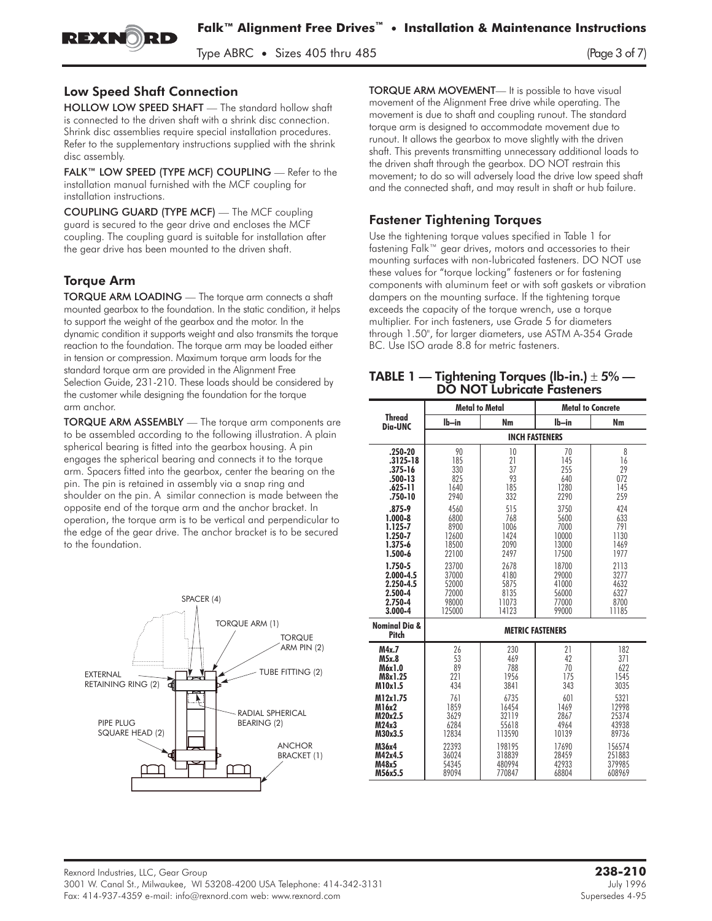$T_{\rm P}$  , size 405 thru 485 (Page 3 of 7)

### Low Speed Shaft Connection

REXNORD

HOLLOW LOW SPEED SHAFT — The standard hollow shaft is connected to the driven shaft with a shrink disc connection. Shrink disc assemblies require special installation procedures. Refer to the supplementary instructions supplied with the shrink disc assembly.

FALK™ LOW SPEED (TYPE MCF) COUPLING — Refer to the installation manual furnished with the MCF coupling for installation instructions.

COUPLING GUARD (TYPE MCF) — The MCF coupling guard is secured to the gear drive and encloses the MCF coupling. The coupling guard is suitable for installation after the gear drive has been mounted to the driven shaft.

# Torque Arm

TORQUE ARM LOADING — The torque arm connects a shaft mounted gearbox to the foundation. In the static condition, it helps to support the weight of the gearbox and the motor. In the dynamic condition it supports weight and also transmits the torque reaction to the foundation. The torque arm may be loaded either in tension or compression. Maximum torque arm loads for the standard torque arm are provided in the Alignment Free Selection Guide, 231-210. These loads should be considered by the customer while designing the foundation for the torque arm anchor.

TORQUE ARM ASSEMBLY — The torque arm components are to be assembled according to the following illustration. A plain spherical bearing is fitted into the gearbox housing. A pin engages the spherical bearing and connects it to the torque arm. Spacers fitted into the gearbox, center the bearing on the pin. The pin is retained in assembly via a snap ring and shoulder on the pin. A similar connection is made between the opposite end of the torque arm and the anchor bracket. In operation, the torque arm is to be vertical and perpendicular to the edge of the gear drive. The anchor bracket is to be secured to the foundation.



TORQUE ARM MOVEMENT— It is possible to have visual movement of the Alignment Free drive while operating. The movement is due to shaft and coupling runout. The standard torque arm is designed to accommodate movement due to runout. It allows the gearbox to move slightly with the driven shaft. This prevents transmitting unnecessary additional loads to the driven shaft through the gearbox. DO NOT restrain this movement; to do so will adversely load the drive low speed shaft and the connected shaft, and may result in shaft or hub failure.

# Fastener Tightening Torques

Use the tightening torque values specified in Table 1 for fastening Falk™ gear drives, motors and accessories to their mounting surfaces with non-lubricated fasteners. DO NOT use these values for "torque locking" fasteners or for fastening components with aluminum feet or with soft gaskets or vibration dampers on the mounting surface. If the tightening torque exceeds the capacity of the torque wrench, use a torque multiplier. For inch fasteners, use Grade 5 for diameters through 1.50", for larger diameters, use ASTM A-354 Grade BC. Use ISO grade 8.8 for metric fasteners.

#### TABLE 1 — Tightening Torques (lb-in.)  $\pm 5\%$  — DO NOT Lubricate Fasteners

|                                   | <b>Metal to Metal</b> |                         |         | <b>Metal to Concrete</b> |  |
|-----------------------------------|-----------------------|-------------------------|---------|--------------------------|--|
| <b>Thread</b><br>Dia-UNC          | $Ib-in$               | Nm                      | $Ib-in$ | Nm                       |  |
|                                   |                       | <b>INCH FASTENERS</b>   |         |                          |  |
| $.250 - 20$                       | 90                    | 10                      | 70      | 8                        |  |
| $.3125 - 18$                      | 185                   | 21                      | 145     | 16                       |  |
| $.375 - 16$                       | 330                   | 37                      | 255     | 29                       |  |
| $.500 - 13$                       | 825                   | 93                      | 640     | 072                      |  |
| $.625 - 11$                       | 1640                  | 185                     | 1280    | 145                      |  |
| $.750 - 10$                       | 2940                  | 332                     | 2290    | 259                      |  |
| $.875 - 9$                        | 4560                  | 515                     | 3750    | 424                      |  |
| $1.000 - 8$                       | 6800                  | 768                     | 5600    | 633                      |  |
| 1.125-7                           | 8900                  | 1006                    | 7000    | 791                      |  |
| 1.250-7                           | 12600                 | 1424                    | 10000   | 1130                     |  |
| 1.375-6                           | 18500                 | 2090                    | 13000   | 1469                     |  |
| 1.500-6                           | 22100                 | 2497                    | 17500   | 1977                     |  |
| 1.750-5                           | 23700                 | 2678                    | 18700   | 2113                     |  |
| $2.000 - 4.5$                     | 37000                 | 4180                    | 29000   | 3277                     |  |
| 2.250-4.5                         | 52000                 | 5875                    | 41000   | 4632                     |  |
| 2.500-4                           | 72000                 | 8135                    | 56000   | 6327                     |  |
| 2.750-4                           | 98000                 | 11073                   | 77000   | 8700                     |  |
| 3.000-4                           | 125000                | 14123                   | 99000   | 11185                    |  |
| <b>Nominal Dia &amp;</b><br>Pitch |                       | <b>METRIC FASTENERS</b> |         |                          |  |
| M4x.7                             | 26                    | 230                     | 21      | 182                      |  |
| M5x.8                             | 53                    | 469                     | 47      | 371                      |  |
| M6x1.0                            | 89                    | 788                     | 70      | 622                      |  |
| M8x1.25                           | 221                   | 1956                    | 175     | 1545                     |  |
| M10x1.5                           | 434                   | 3841                    | 343     | 3035                     |  |
| M12x1.75                          | 761                   | 6735                    | 601     | 5321                     |  |
| M16x2                             | 1859                  | 16454                   | 1469    | 12998                    |  |
| M20x2.5                           | 3629                  | 32119                   | 2867    | 25374                    |  |
| M24x3                             | 6284                  | 55618                   | 4964    | 43938                    |  |
| M30x3.5                           | 12834                 | 113590                  | 10139   | 89736                    |  |
| M36x4                             | 22393                 | 198195                  | 17690   | 156574                   |  |
| M42x4.5                           | 36024                 | 318839                  | 28459   | 251883                   |  |
| M48x5                             | 54345                 | 480994                  | 42933   | 379985                   |  |
| M56x5.5                           | 89094                 | 770847                  | 68804   | 608969                   |  |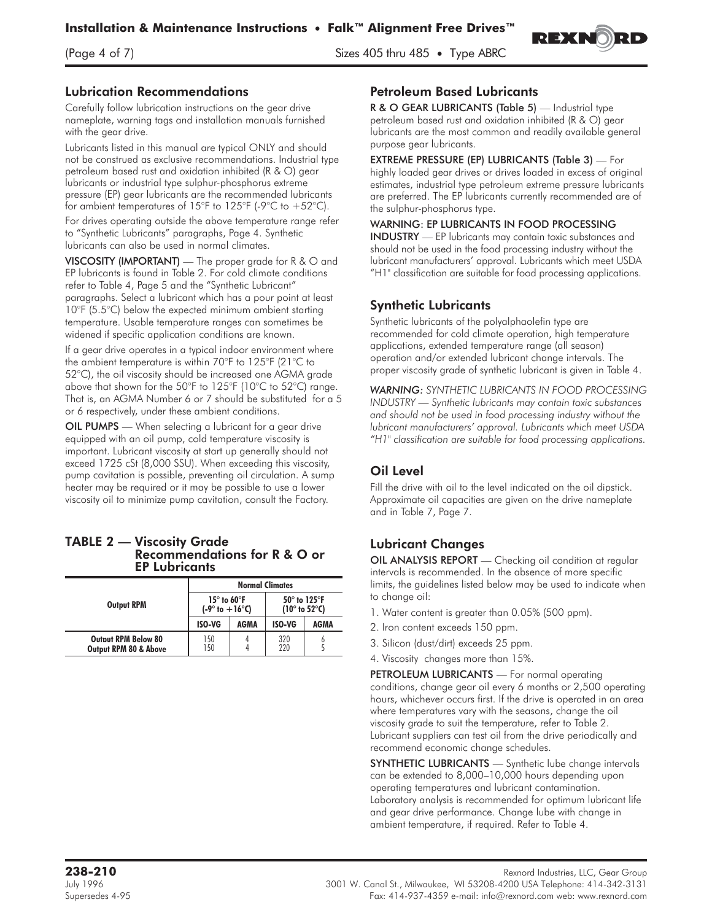

 $\frac{1}{2}$  of  $\frac{1}{2}$  of  $\frac{1}{2}$  is  $\frac{1}{2}$  three ABRCs  $\frac{1}{2}$  is  $\frac{1}{2}$  three ABRCs  $\frac{1}{2}$ 

#### Lubrication Recommendations

Carefully follow lubrication instructions on the gear drive nameplate, warning tags and installation manuals furnished with the gear drive.

Lubricants listed in this manual are typical ONLY and should not be construed as exclusive recommendations. Industrial type petroleum based rust and oxidation inhibited (R & O) gear lubricants or industrial type sulphur-phosphorus extreme pressure (EP) gear lubricants are the recommended lubricants for ambient temperatures of 15°F to 125°F (-9°C to +52°C).

For drives operating outside the above temperature range refer to "Synthetic Lubricants" paragraphs, Page 4. Synthetic lubricants can also be used in normal climates.

VISCOSITY (IMPORTANT) — The proper grade for R & O and EP lubricants is found in Table 2. For cold climate conditions refer to Table 4, Page 5 and the "Synthetic Lubricant" paragraphs. Select a lubricant which has a pour point at least 10°F (5.5°C) below the expected minimum ambient starting temperature. Usable temperature ranges can sometimes be widened if specific application conditions are known.

If a gear drive operates in a typical indoor environment where the ambient temperature is within 70°F to 125°F (21°C to 52°C), the oil viscosity should be increased one AGMA grade above that shown for the 50°F to 125°F (10°C to 52°C) range. That is, an AGMA Number 6 or 7 should be substituted for a 5 or 6 respectively, under these ambient conditions.

OIL PUMPS — When selecting a lubricant for a gear drive equipped with an oil pump, cold temperature viscosity is important. Lubricant viscosity at start up generally should not exceed 1725 cSt (8,000 SSU). When exceeding this viscosity, pump cavitation is possible, preventing oil circulation. A sump heater may be required or it may be possible to use a lower viscosity oil to minimize pump cavitation, consult the Factory.

#### TABLE 2 — Viscosity Grade Recommendations for R & O or EP Lubricants

|                                                                | <b>Normal Climates</b>                                       |      |                                                                    |      |
|----------------------------------------------------------------|--------------------------------------------------------------|------|--------------------------------------------------------------------|------|
| <b>Output RPM</b>                                              | $15^\circ$ to 60 $^\circ$ F<br>$(-9^\circ$ to $+16^\circ$ C) |      | $50^\circ$ to 125 $^\circ$ F<br>(10 $^{\circ}$ to 52 $^{\circ}$ C) |      |
|                                                                | <b>ISO-VG</b>                                                | AGMA | ISO-VG                                                             | AGMA |
| <b>Output RPM Below 80</b><br><b>Output RPM 80 &amp; Above</b> | 150<br>150                                                   |      | 320<br>220                                                         |      |

#### Petroleum Based Lubricants

R & O GEAR LUBRICANTS (Table 5) - Industrial type petroleum based rust and oxidation inhibited (R & O) gear lubricants are the most common and readily available general purpose gear lubricants.

EXTREME PRESSURE (EP) LUBRICANTS (Table 3) — For highly loaded gear drives or drives loaded in excess of original estimates, industrial type petroleum extreme pressure lubricants are preferred. The EP lubricants currently recommended are of the sulphur-phosphorus type.

#### WARNING: EP LUBRICANTS IN FOOD PROCESSING

INDUSTRY — EP lubricants may contain toxic substances and should not be used in the food processing industry without the lubricant manufacturers' approval. Lubricants which meet USDA "H1" classification are suitable for food processing applications.

## Synthetic Lubricants

Synthetic lubricants of the polyalphaolefin type are recommended for cold climate operation, high temperature applications, extended temperature range (all season) operation and/or extended lubricant change intervals. The proper viscosity grade of synthetic lubricant is given in Table 4.

*WARNING: SYNTHETIC LUBRICANTS IN FOOD PROCESSING INDUSTRY — Synthetic lubricants may contain toxic substances and should not be used in food processing industry without the lubricant manufacturers' approval. Lubricants which meet USDA "H1" classification are suitable for food processing applications.*

# Oil Level

Fill the drive with oil to the level indicated on the oil dipstick. Approximate oil capacities are given on the drive nameplate and in Table 7, Page 7.

# Lubricant Changes

OIL ANALYSIS REPORT - Checking oil condition at regular intervals is recommended. In the absence of more specific limits, the guidelines listed below may be used to indicate when to change oil:

- 1. Water content is greater than 0.05% (500 ppm).
- 2. Iron content exceeds 150 ppm.
- 3. Silicon (dust/dirt) exceeds 25 ppm.
- 4. Viscosity changes more than 15%.

PETROLEUM LUBRICANTS - For normal operating conditions, change gear oil every 6 months or 2,500 operating hours, whichever occurs first. If the drive is operated in an area where temperatures vary with the seasons, change the oil viscosity grade to suit the temperature, refer to Table 2. Lubricant suppliers can test oil from the drive periodically and recommend economic change schedules.

SYNTHETIC LUBRICANTS - Synthetic lube change intervals can be extended to 8,000–10,000 hours depending upon operating temperatures and lubricant contamination. Laboratory analysis is recommended for optimum lubricant life and gear drive performance. Change lube with change in ambient temperature, if required. Refer to Table 4.

Rexnord Industries, LLC, Gear Group<br>July 1996 3001 W. Canal St., Milwaukee, WI 53208-4200 USA Telephone: 414-342-3131 Supersedes 4-95 Fax: 414-937-4359 e-mail: info@rexnord.com web: www.rexnord.com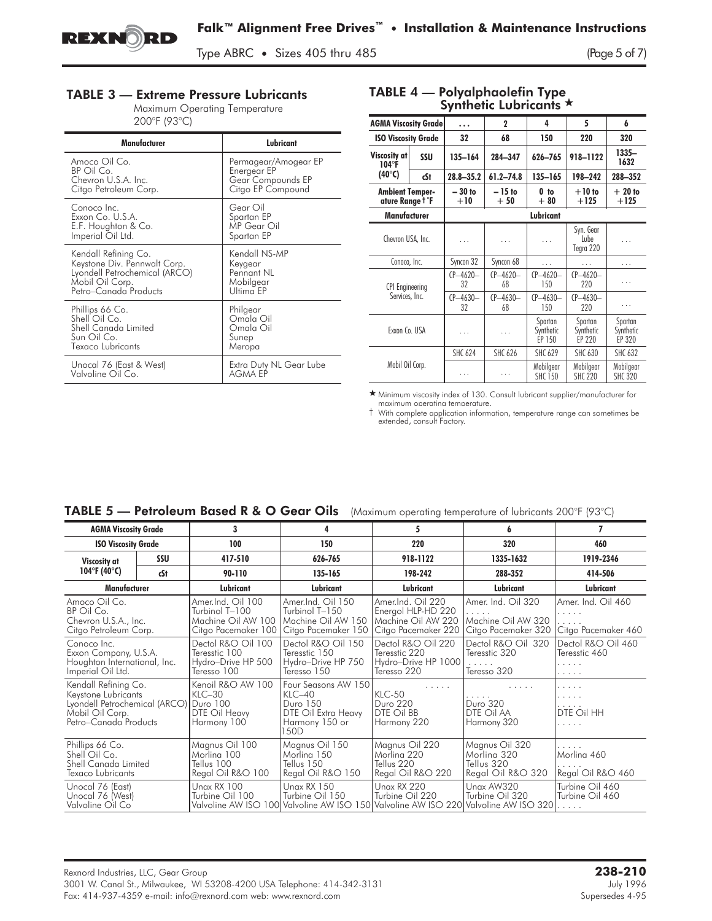

 $T_{\rm P}$  , size  $\frac{1}{2}$  thru 485 (Page 5 of 7)

## **TABLE 3 — Extreme Pressure Lubricants**

Maximum Operating Temperature 200°F (93°C)

| Manufacturer                  | Lubricant               |
|-------------------------------|-------------------------|
| Amoco Oil Co.                 | Permagear/Amogear EP    |
| BP Oil Co.                    | Energear EP             |
| Chevron U.S.A. Inc.           | Gear Compounds EP       |
| Citgo Petroleum Corp.         | Citgo EP Compound       |
| Conoco Inc.                   | Gear Oil                |
| Exxon Co. U.S.A.              | Spartan EP              |
| E.F. Houghton & Co.           | MP Gear Oil             |
| Imperial Oil Ltd.             | Spartan EP              |
| Kendall Refining Co.          | Kendall NS-MP           |
| Keystone Div. Pennwalt Corp.  | Keygear                 |
| Lyondell Petrochemical (ARCO) | Pennant NL              |
| Mobil Oil Corp.               | Mobilgear               |
| Petro-Canada Products         | Ultima EP               |
| Phillips 66 Co.               | Philgear                |
| Shell Oil Co.                 | Omala Oil               |
| Shell Canada Limited          | Omala Oil               |
| Sun Oil Co.                   | Sunep                   |
| Texaco Lubricants             | Meropa                  |
| Unocal 76 (East & West)       | Extra Duty NL Gear Lube |
| Valvoline Oil Co.             | <b>AGMA EP</b>          |

#### TABLE 4 — Polyalphaolefin Type Synthetic Lubricants  $\star$

| <b>SAIIIICIN FAMILAIII</b>                             |     |                     |                     |                                |                                |                                |
|--------------------------------------------------------|-----|---------------------|---------------------|--------------------------------|--------------------------------|--------------------------------|
| <b>AGMA Viscosity Grade</b>                            |     | .                   | $\mathbf{2}$        | 4                              | 5                              | 6                              |
| <b>ISO Viscosity Grade</b>                             |     | 32                  | 68                  | 150                            | 220                            | 320                            |
| Viscosity at<br>$104^\circ F$                          | SSU | $135 - 164$         | 284-347             | 626-765                        | 918-1122                       | $1335 -$<br>1632               |
| (40°C)                                                 | cSt | $28.8 - 35.2$       | $61.2 - 74.8$       | 135-165                        | 198-242                        | 288-352                        |
| <b>Ambient Temper-</b><br>ature Range T <sup>°</sup> F |     | $-30$ to<br>$+10$   | $-15$ to<br>$+50$   | 0 <sub>to</sub><br>$+80$       | $+10$ to<br>$+125$             | $+20$ to<br>$+125$             |
| Manufacturer                                           |     |                     |                     | Lubricant                      |                                |                                |
| Chevron USA, Inc.                                      |     | .                   | .                   | .                              | Syn. Gear<br>Lube<br>Tegra 220 | .                              |
| Conoco, Inc.                                           |     | Syncon 32           | Syncon 68           | .                              | .                              | .                              |
| <b>CPI</b> Engineering<br>Services, Inc.               |     | $CP - 4620 -$<br>32 | $CP - 4620 -$<br>68 | $CP - 4620 -$<br>150           | $CP - 4620 -$<br>220           | .                              |
|                                                        |     | $CP - 4630 -$<br>32 | $(P - 4630 -$<br>68 | $CP - 4630 -$<br>150           | $CP - 4630 -$<br>220           | .                              |
| Exxon Co. USA                                          |     | .                   | .                   | Spartan<br>Synthetic<br>EP 150 | Spartan<br>Synthetic<br>EP 220 | Spartan<br>Synthetic<br>EP 320 |
| Mobil Oil Corp.                                        |     | <b>SHC 624</b>      | <b>SHC 626</b>      | <b>SHC 629</b>                 | <b>SHC 630</b>                 | <b>SHC 632</b>                 |
|                                                        |     | .                   | .                   | Mobilgear<br><b>SHC 150</b>    | Mobilgear<br><b>SHC 220</b>    | Mobilgear<br><b>SHC 320</b>    |

- Minimum viscosity index of 130. Consult lubricant supplier/manufacturer for maximum operating temperature.

† With complete application information, temperature range can sometimes be extended, consult Factory.

# TABLE 5 - Petroleum Based R & O Gear Oils (Maximum operating temperature of lubricants 200°F (93°C)

| <b>AGMA Viscosity Grade</b>                                                                                                       |     | 3                                                                                | 4                                                                                                  | 5                                                                                                                            |                                                                  |                                                          |
|-----------------------------------------------------------------------------------------------------------------------------------|-----|----------------------------------------------------------------------------------|----------------------------------------------------------------------------------------------------|------------------------------------------------------------------------------------------------------------------------------|------------------------------------------------------------------|----------------------------------------------------------|
| <b>ISO Viscosity Grade</b>                                                                                                        |     | 100                                                                              | 150                                                                                                | 220                                                                                                                          | 320                                                              | 460                                                      |
| Viscosity at                                                                                                                      | SSU | 417-510                                                                          | 626-765                                                                                            | 918-1122                                                                                                                     | 1335-1632                                                        | 1919-2346                                                |
| 104°F (40°C)                                                                                                                      | cSt | 90-110                                                                           | 135-165                                                                                            | 198-242                                                                                                                      | 288-352                                                          | 414-506                                                  |
| <b>Manufacturer</b>                                                                                                               |     | Lubricant                                                                        | Lubricant                                                                                          | Lubricant                                                                                                                    | Lubricant                                                        | Lubricant                                                |
| Amoco Oil Co.<br>BP Oil Co.<br>Chevron U.S.A., Inc.<br>Citgo Petroleum Corp.                                                      |     | Amer.Ind. Oil 100<br>Turbinol T-100<br>Machine Oil AW 100<br>Citgo Pacemaker 100 | Amer.Ind. Oil 150<br>Turbinol T-150<br>Machine Oil AW 150<br>Citgo Pacemaker 150                   | Amer.Ind. Oil 220<br>Energol HLP-HD 220<br>Machine Oil AW 220<br>Citgo Pacemaker 220                                         | Amer. Ind. Oil 320<br>Machine Oil AW 320<br>Citgo Pacemaker 320  | Amer. Ind. Oil 460<br>.<br>.<br>Citgo Pacemaker 460      |
| Conoco Inc.<br>Exxon Company, U.S.A.<br>Houghton International, Inc.<br>Imperial Oil Ltd.                                         |     | Dectol R&O Oil 100<br>Teresstic 100<br>Hydro-Drive HP 500<br>Teresso 100         | Dectol R&O Oil 150<br>Teresstic 150<br>Hydro-Drive HP 750<br>Teresso 150                           | Dectol R&O Oil 220<br>Teresstic 220<br>Hydro-Drive HP 1000<br>Teresso 220                                                    | Dectol R&O Oil 320<br>Teresstic 320<br>.<br>Teresso 320          | Dectol R&O Oil 460<br>Teresstic 460<br>and a series<br>. |
| Kendall Refining Co.<br>Keystone Lubricants<br>Lyondell Petrochemical (ARCO) Duro 100<br>Mobil Oil Corp.<br>Petro-Canada Products |     | Kenoil R&O AW 100<br>$KLC-30$<br>DTE Oil Heavy<br>Harmony 100                    | Four Seasons AW 150<br>$KLC-40$<br><b>Duro 150</b><br>DTE Oil Extra Heavy<br>Harmony 150 or<br>50D | 1.1.1.1<br><b>KLC-50</b><br>Duro 220<br>DTE Oil BB<br>Harmony 220                                                            | .<br>.<br>Duro 320<br>DTE Oil AA<br>Harmony 320                  | .<br>.<br>.<br>DTE Oil HH<br>.                           |
| Phillips 66 Co.<br>Shell Oil Co.<br>Shell Canada Limited<br>Texaco Lubricants                                                     |     | Magnus Oil 100<br>Morlina 100<br>Tellus 100<br>Regal Oil R&O 100                 | Magnus Oil 150<br>Morlina 150<br>Tellus 150<br>Regal Oil R&O 150                                   | Magnus Oil 220<br>Morling 220<br>Tellus 220<br>Regal Oil R&O 220                                                             | Magnus Oil 320<br>Morlina 320<br>Tellus 320<br>Regal Oil R&O 320 | .<br>Morling 460<br>Regal Oil R&O 460                    |
| Unocal 76 (East)<br>Unocal 76 (West)<br>Valvoline Oil Co                                                                          |     | <b>Unax RX 100</b><br>Turbine Oil 100                                            | <b>Unax RX 150</b><br>Turbine Oil 150                                                              | <b>Unax RX 220</b><br>Turbine Oil 220<br>Valvoline AW ISO 100 Valvoline AW ISO 150 Valvoline AW ISO 220 Valvoline AW ISO 320 | Unax AW320<br>Turbine Oil 320                                    | Turbine Oil 460<br>Turbine Oil 460<br>.                  |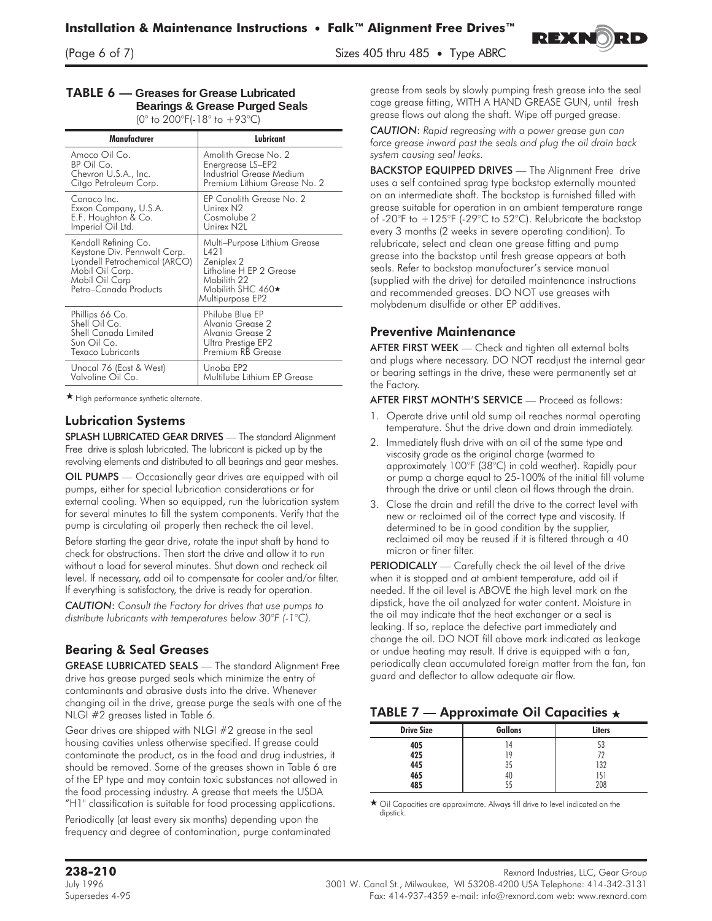$\sum_{i=1}^{n}$  of  $\sum_{i=1}^{n}$  sizes 405  $\sum_{i=1}^{n}$  35  $\sum_{i=1}^{n}$  35  $\sum_{i=1}^{n}$  485  $\sum_{i=1}^{n}$ 



#### **TABLE 6 — Greases for Grease Lubricated Bearings & Grease Purged Seals**

(0 $\degree$  to 200 $\degree$ F(-18 $\degree$  to +93 $\degree$ C)

| Manufacturer                                                                                                                                        | Lubricant                                                                                                                                   |
|-----------------------------------------------------------------------------------------------------------------------------------------------------|---------------------------------------------------------------------------------------------------------------------------------------------|
| Amoco Oil Co.                                                                                                                                       | Amolith Grease No. 2                                                                                                                        |
| BP Oil Co.                                                                                                                                          | Energrease LS-EP2                                                                                                                           |
| Chevron U.S.A., Inc.                                                                                                                                | Industrial Grease Medium                                                                                                                    |
| Citgo Petroleum Corp.                                                                                                                               | Premium Lithium Grease No. 2                                                                                                                |
| Conoco Inc.                                                                                                                                         | EP Conolith Grease No. 2                                                                                                                    |
| Exxon Company, U.S.A.                                                                                                                               | Unirex N2                                                                                                                                   |
| E.F. Houghton & Co.                                                                                                                                 | Cosmolube 2                                                                                                                                 |
| Imperial Oil Ltd.                                                                                                                                   | Unirex N2L                                                                                                                                  |
| Kendall Refining Co.<br>Keystone Div. Pennwalt Corp.<br>Lyondell Petrochemical (ARCO)<br>Mobil Oil Corp.<br>Mobil Oil Corp<br>Petro-Canada Products | Multi-Purpose Lithium Grease<br>1421<br>Zeniplex 2<br>Litholine H EP 2 Grease<br>Mobilith 22<br>Mobilith SHC $460\star$<br>Multipurpose EP2 |
| Phillips 66 Co.                                                                                                                                     | Philube Blue EP                                                                                                                             |
| Shell Oil Co.                                                                                                                                       | Alvania Grease 2                                                                                                                            |
| Shell Canada Limited                                                                                                                                | Alvania Grease 2                                                                                                                            |
| Sun Oil Co.                                                                                                                                         | Ultra Prestige EP2                                                                                                                          |
| Texaco Lubricants                                                                                                                                   | Premium RB Grease                                                                                                                           |
| Unocal 76 (East & West)                                                                                                                             | Unoba EP2                                                                                                                                   |
| Valvoline Oil Co.                                                                                                                                   | Multilube Lithium EP Grease                                                                                                                 |

- High performance synthetic alternate.

## Lubrication Systems

SPLASH LUBRICATED GEAR DRIVES - The standard Alignment Free drive is splash lubricated. The lubricant is picked up by the revolving elements and distributed to all bearings and gear meshes.

OIL PUMPS — Occasionally gear drives are equipped with oil pumps, either for special lubrication considerations or for external cooling. When so equipped, run the lubrication system for several minutes to fill the system components. Verify that the pump is circulating oil properly then recheck the oil level.

Before starting the gear drive, rotate the input shaft by hand to check for obstructions. Then start the drive and allow it to run without a load for several minutes. Shut down and recheck oil level. If necessary, add oil to compensate for cooler and/or filter. If everything is satisfactory, the drive is ready for operation.

*CAUTION*: *Consult the Factory for drives that use pumps to distribute lubricants with temperatures below 30°F (-1°C).*

# Bearing & Seal Greases

GREASE LUBRICATED SEALS — The standard Alignment Free drive has grease purged seals which minimize the entry of contaminants and abrasive dusts into the drive. Whenever changing oil in the drive, grease purge the seals with one of the NLGI #2 greases listed in Table 6.

Gear drives are shipped with NLGI #2 grease in the seal housing cavities unless otherwise specified. If grease could contaminate the product, as in the food and drug industries, it should be removed. Some of the greases shown in Table 6 are of the EP type and may contain toxic substances not allowed in the food processing industry. A grease that meets the USDA "H1" classification is suitable for food processing applications.

Periodically (at least every six months) depending upon the frequency and degree of contamination, purge contaminated grease from seals by slowly pumping fresh grease into the seal cage grease fitting, WITH A HAND GREASE GUN, until fresh grease flows out along the shaft. Wipe off purged grease.

*CAUTION*: *Rapid regreasing with a power grease gun can force grease inward past the seals and plug the oil drain back system causing seal leaks.*

BACKSTOP EQUIPPED DRIVES - The Alignment Free drive uses a self contained sprag type backstop externally mounted on an intermediate shaft. The backstop is furnished filled with grease suitable for operation in an ambient temperature range of -20°F to +125°F (-29°C to 52°C). Relubricate the backstop every 3 months (2 weeks in severe operating condition). To relubricate, select and clean one grease fitting and pump grease into the backstop until fresh grease appears at both seals. Refer to backstop manufacturer's service manual (supplied with the drive) for detailed maintenance instructions and recommended greases. DO NOT use greases with molybdenum disulfide or other EP additives.

## Preventive Maintenance

AFTER FIRST WEEK - Check and tighten all external bolts and plugs where necessary. DO NOT readjust the internal gear or bearing settings in the drive, these were permanently set at the Factory.

AFTER FIRST MONTH'S SERVICE — Proceed as follows:

- 1. Operate drive until old sump oil reaches normal operating temperature. Shut the drive down and drain immediately.
- 2. Immediately flush drive with an oil of the same type and viscosity grade as the original charge (warmed to approximately 100°F (38°C) in cold weather). Rapidly pour or pump a charge equal to 25-100% of the initial fill volume through the drive or until clean oil flows through the drain.
- 3. Close the drain and refill the drive to the correct level with new or reclaimed oil of the correct type and viscosity. If determined to be in good condition by the supplier, reclaimed oil may be reused if it is filtered through a 40 micron or finer filter.

PERIODICALLY - Carefully check the oil level of the drive when it is stopped and at ambient temperature, add oil if needed. If the oil level is ABOVE the high level mark on the dipstick, have the oil analyzed for water content. Moisture in the oil may indicate that the heat exchanger or a seal is leaking. If so, replace the defective part immediately and change the oil. DO NOT fill above mark indicated as leakage or undue heating may result. If drive is equipped with a fan, periodically clean accumulated foreign matter from the fan, fan guard and deflector to allow adequate air flow.

# TABLE 7 — Approximate Oil Capacities *-*

| <b>Drive Size</b> | <b>Gallons</b> | Liters |
|-------------------|----------------|--------|
| 405               | 14             | 53     |
| 425               | 19             | 77     |
| 445               | 35             | 132    |
| 465               | 40             | 151    |
| 485               |                | 208    |

- Oil Capacities are approximate. Always fill drive to level indicated on the dipstick.